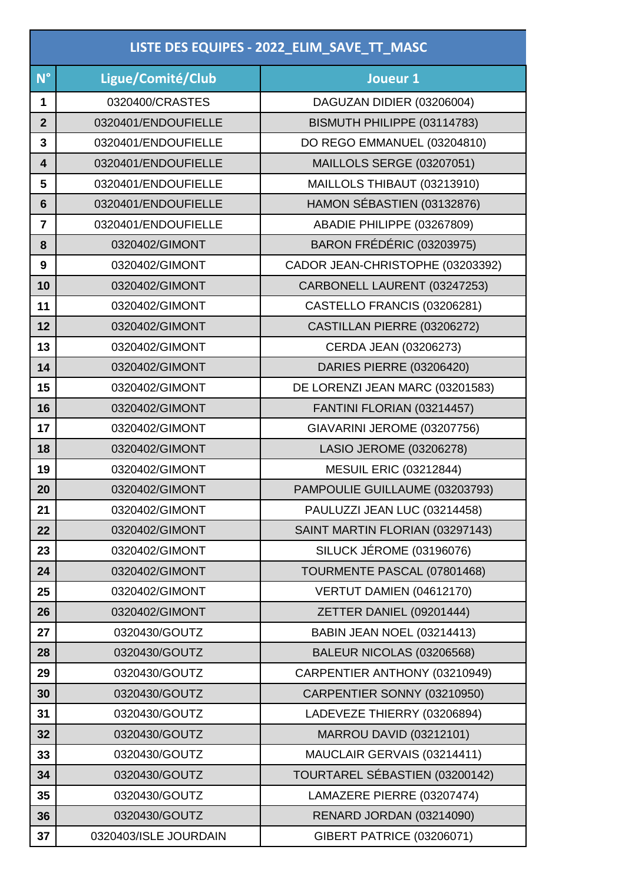| LISTE DES EQUIPES - 2022_ELIM_SAVE_TT_MASC |                       |                                   |  |
|--------------------------------------------|-----------------------|-----------------------------------|--|
| $N^{\circ}$                                | Ligue/Comité/Club     | Joueur 1                          |  |
| 1                                          | 0320400/CRASTES       | DAGUZAN DIDIER (03206004)         |  |
| $\overline{2}$                             | 0320401/ENDOUFIELLE   | BISMUTH PHILIPPE (03114783)       |  |
| 3                                          | 0320401/ENDOUFIELLE   | DO REGO EMMANUEL (03204810)       |  |
| 4                                          | 0320401/ENDOUFIELLE   | <b>MAILLOLS SERGE (03207051)</b>  |  |
| 5                                          | 0320401/ENDOUFIELLE   | MAILLOLS THIBAUT (03213910)       |  |
| $6\phantom{1}6$                            | 0320401/ENDOUFIELLE   | HAMON SÉBASTIEN (03132876)        |  |
| $\overline{7}$                             | 0320401/ENDOUFIELLE   | ABADIE PHILIPPE (03267809)        |  |
| 8                                          | 0320402/GIMONT        | BARON FRÉDÉRIC (03203975)         |  |
| 9                                          | 0320402/GIMONT        | CADOR JEAN-CHRISTOPHE (03203392)  |  |
| 10                                         | 0320402/GIMONT        | CARBONELL LAURENT (03247253)      |  |
| 11                                         | 0320402/GIMONT        | CASTELLO FRANCIS (03206281)       |  |
| 12                                         | 0320402/GIMONT        | CASTILLAN PIERRE (03206272)       |  |
| 13                                         | 0320402/GIMONT        | CERDA JEAN (03206273)             |  |
| 14                                         | 0320402/GIMONT        | DARIES PIERRE (03206420)          |  |
| 15                                         | 0320402/GIMONT        | DE LORENZI JEAN MARC (03201583)   |  |
| 16                                         | 0320402/GIMONT        | FANTINI FLORIAN (03214457)        |  |
| 17                                         | 0320402/GIMONT        | GIAVARINI JEROME (03207756)       |  |
| 18                                         | 0320402/GIMONT        | LASIO JEROME (03206278)           |  |
| 19                                         | 0320402/GIMONT        | <b>MESUIL ERIC (03212844)</b>     |  |
| 20                                         | 0320402/GIMONT        | PAMPOULIE GUILLAUME (03203793)    |  |
| 21                                         | 0320402/GIMONT        | PAULUZZI JEAN LUC (03214458)      |  |
| 22                                         | 0320402/GIMONT        | SAINT MARTIN FLORIAN (03297143)   |  |
| 23                                         | 0320402/GIMONT        | SILUCK JÉROME (03196076)          |  |
| 24                                         | 0320402/GIMONT        | TOURMENTE PASCAL (07801468)       |  |
| 25                                         | 0320402/GIMONT        | VERTUT DAMIEN (04612170)          |  |
| 26                                         | 0320402/GIMONT        | ZETTER DANIEL (09201444)          |  |
| 27                                         | 0320430/GOUTZ         | <b>BABIN JEAN NOEL (03214413)</b> |  |
| 28                                         | 0320430/GOUTZ         | BALEUR NICOLAS (03206568)         |  |
| 29                                         | 0320430/GOUTZ         | CARPENTIER ANTHONY (03210949)     |  |
| 30                                         | 0320430/GOUTZ         | CARPENTIER SONNY (03210950)       |  |
| 31                                         | 0320430/GOUTZ         | LADEVEZE THIERRY (03206894)       |  |
| 32                                         | 0320430/GOUTZ         | <b>MARROU DAVID (03212101)</b>    |  |
| 33                                         | 0320430/GOUTZ         | MAUCLAIR GERVAIS (03214411)       |  |
| 34                                         | 0320430/GOUTZ         | TOURTAREL SÉBASTIEN (03200142)    |  |
| 35                                         | 0320430/GOUTZ         | LAMAZERE PIERRE (03207474)        |  |
| 36                                         | 0320430/GOUTZ         | RENARD JORDAN (03214090)          |  |
| 37                                         | 0320403/ISLE JOURDAIN | <b>GIBERT PATRICE (03206071)</b>  |  |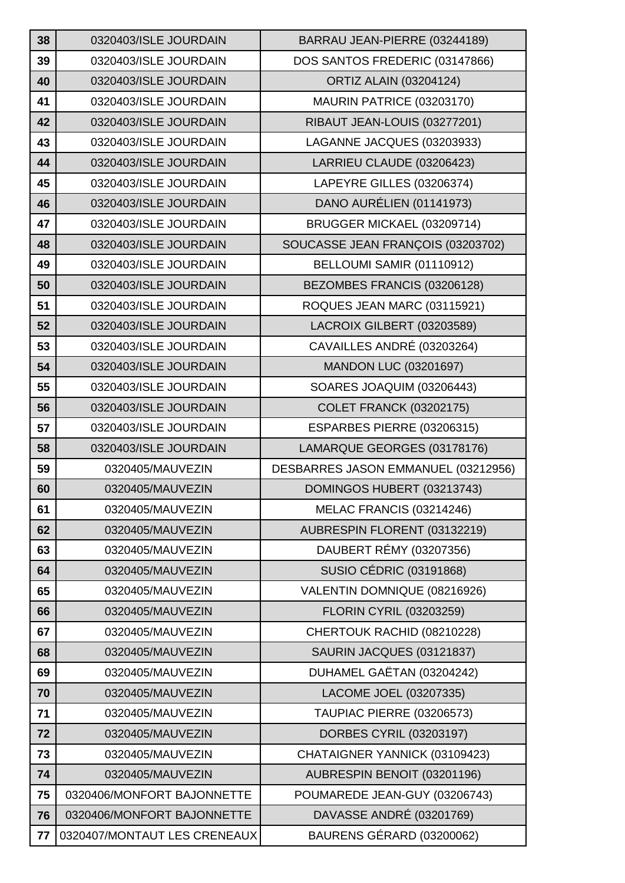| 38 | 0320403/ISLE JOURDAIN      | BARRAU JEAN-PIERRE (03244189)       |
|----|----------------------------|-------------------------------------|
| 39 | 0320403/ISLE JOURDAIN      | DOS SANTOS FREDERIC (03147866)      |
| 40 | 0320403/ISLE JOURDAIN      | <b>ORTIZ ALAIN (03204124)</b>       |
| 41 | 0320403/ISLE JOURDAIN      | MAURIN PATRICE (03203170)           |
| 42 | 0320403/ISLE JOURDAIN      | RIBAUT JEAN-LOUIS (03277201)        |
| 43 | 0320403/ISLE JOURDAIN      | LAGANNE JACQUES (03203933)          |
| 44 | 0320403/ISLE JOURDAIN      | LARRIEU CLAUDE (03206423)           |
| 45 | 0320403/ISLE JOURDAIN      | LAPEYRE GILLES (03206374)           |
| 46 | 0320403/ISLE JOURDAIN      | DANO AURÉLIEN (01141973)            |
| 47 | 0320403/ISLE JOURDAIN      | BRUGGER MICKAEL (03209714)          |
| 48 | 0320403/ISLE JOURDAIN      | SOUCASSE JEAN FRANÇOIS (03203702)   |
| 49 | 0320403/ISLE JOURDAIN      | BELLOUMI SAMIR (01110912)           |
| 50 | 0320403/ISLE JOURDAIN      | BEZOMBES FRANCIS (03206128)         |
| 51 | 0320403/ISLE JOURDAIN      | ROQUES JEAN MARC (03115921)         |
| 52 | 0320403/ISLE JOURDAIN      | LACROIX GILBERT (03203589)          |
| 53 | 0320403/ISLE JOURDAIN      | CAVAILLES ANDRÉ (03203264)          |
| 54 | 0320403/ISLE JOURDAIN      | <b>MANDON LUC (03201697)</b>        |
| 55 | 0320403/ISLE JOURDAIN      | SOARES JOAQUIM (03206443)           |
| 56 | 0320403/ISLE JOURDAIN      | <b>COLET FRANCK (03202175)</b>      |
| 57 | 0320403/ISLE JOURDAIN      | ESPARBES PIERRE (03206315)          |
|    |                            |                                     |
| 58 | 0320403/ISLE JOURDAIN      | LAMARQUE GEORGES (03178176)         |
| 59 | 0320405/MAUVEZIN           | DESBARRES JASON EMMANUEL (03212956) |
| 60 | 0320405/MAUVEZIN           | DOMINGOS HUBERT (03213743)          |
| 61 | 0320405/MAUVEZIN           | MELAC FRANCIS (03214246)            |
| 62 | 0320405/MAUVEZIN           | AUBRESPIN FLORENT (03132219)        |
| 63 | 0320405/MAUVEZIN           | DAUBERT RÉMY (03207356)             |
| 64 | 0320405/MAUVEZIN           | <b>SUSIO CÉDRIC (03191868)</b>      |
| 65 | 0320405/MAUVEZIN           | VALENTIN DOMNIQUE (08216926)        |
| 66 | 0320405/MAUVEZIN           | <b>FLORIN CYRIL (03203259)</b>      |
| 67 | 0320405/MAUVEZIN           | CHERTOUK RACHID (08210228)          |
| 68 | 0320405/MAUVEZIN           | SAURIN JACQUES (03121837)           |
| 69 | 0320405/MAUVEZIN           | DUHAMEL GAËTAN (03204242)           |
| 70 | 0320405/MAUVEZIN           | LACOME JOEL (03207335)              |
| 71 | 0320405/MAUVEZIN           | <b>TAUPIAC PIERRE (03206573)</b>    |
| 72 | 0320405/MAUVEZIN           | DORBES CYRIL (03203197)             |
| 73 | 0320405/MAUVEZIN           | CHATAIGNER YANNICK (03109423)       |
| 74 | 0320405/MAUVEZIN           | AUBRESPIN BENOIT (03201196)         |
| 75 | 0320406/MONFORT BAJONNETTE | POUMAREDE JEAN-GUY (03206743)       |
| 76 | 0320406/MONFORT BAJONNETTE | DAVASSE ANDRÉ (03201769)            |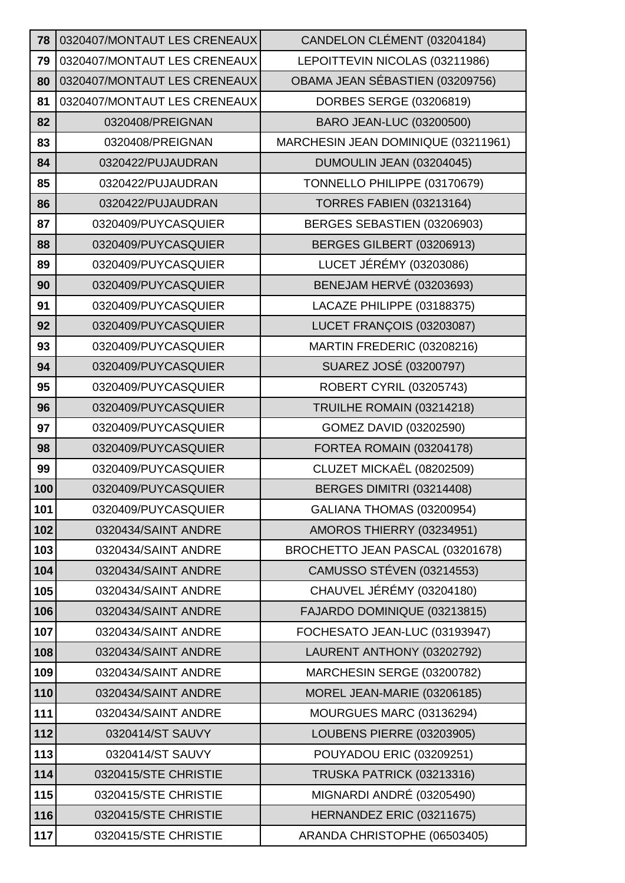| 78  | 0320407/MONTAUT LES CRENEAUX | CANDELON CLÉMENT (03204184)         |
|-----|------------------------------|-------------------------------------|
| 79  | 0320407/MONTAUT LES CRENEAUX | LEPOITTEVIN NICOLAS (03211986)      |
| 80  | 0320407/MONTAUT LES CRENEAUX | OBAMA JEAN SÉBASTIEN (03209756)     |
| 81  | 0320407/MONTAUT LES CRENEAUX | DORBES SERGE (03206819)             |
| 82  | 0320408/PREIGNAN             | BARO JEAN-LUC (03200500)            |
| 83  | 0320408/PREIGNAN             | MARCHESIN JEAN DOMINIQUE (03211961) |
| 84  | 0320422/PUJAUDRAN            | DUMOULIN JEAN (03204045)            |
| 85  | 0320422/PUJAUDRAN            | TONNELLO PHILIPPE (03170679)        |
| 86  | 0320422/PUJAUDRAN            | <b>TORRES FABIEN (03213164)</b>     |
| 87  | 0320409/PUYCASQUIER          | BERGES SEBASTIEN (03206903)         |
| 88  | 0320409/PUYCASQUIER          | BERGES GILBERT (03206913)           |
| 89  | 0320409/PUYCASQUIER          | LUCET JÉRÉMY (03203086)             |
| 90  | 0320409/PUYCASQUIER          | <b>BENEJAM HERVÉ (03203693)</b>     |
| 91  | 0320409/PUYCASQUIER          | LACAZE PHILIPPE (03188375)          |
| 92  | 0320409/PUYCASQUIER          | LUCET FRANÇOIS (03203087)           |
| 93  | 0320409/PUYCASQUIER          | MARTIN FREDERIC (03208216)          |
| 94  | 0320409/PUYCASQUIER          | SUAREZ JOSÉ (03200797)              |
| 95  | 0320409/PUYCASQUIER          | <b>ROBERT CYRIL (03205743)</b>      |
| 96  | 0320409/PUYCASQUIER          | TRUILHE ROMAIN (03214218)           |
| 97  | 0320409/PUYCASQUIER          | GOMEZ DAVID (03202590)              |
| 98  | 0320409/PUYCASQUIER          | FORTEA ROMAIN (03204178)            |
| 99  | 0320409/PUYCASQUIER          | CLUZET MICKAËL (08202509)           |
| 100 | 0320409/PUYCASQUIER          | BERGES DIMITRI (03214408)           |
| 101 | 0320409/PUYCASQUIER          | GALIANA THOMAS (03200954)           |
| 102 | 0320434/SAINT ANDRE          | AMOROS THIERRY (03234951)           |
| 103 | 0320434/SAINT ANDRE          | BROCHETTO JEAN PASCAL (03201678)    |
| 104 | 0320434/SAINT ANDRE          | <b>CAMUSSO STÉVEN (03214553)</b>    |
| 105 | 0320434/SAINT ANDRE          | CHAUVEL JÉRÉMY (03204180)           |
| 106 | 0320434/SAINT ANDRE          | FAJARDO DOMINIQUE (03213815)        |
| 107 | 0320434/SAINT ANDRE          | FOCHESATO JEAN-LUC (03193947)       |
| 108 | 0320434/SAINT ANDRE          | LAURENT ANTHONY (03202792)          |
| 109 | 0320434/SAINT ANDRE          | MARCHESIN SERGE (03200782)          |
| 110 | 0320434/SAINT ANDRE          | MOREL JEAN-MARIE (03206185)         |
| 111 | 0320434/SAINT ANDRE          | MOURGUES MARC (03136294)            |
| 112 | 0320414/ST SAUVY             | <b>LOUBENS PIERRE (03203905)</b>    |
| 113 | 0320414/ST SAUVY             | POUYADOU ERIC (03209251)            |
| 114 | 0320415/STE CHRISTIE         | TRUSKA PATRICK (03213316)           |
| 115 | 0320415/STE CHRISTIE         | MIGNARDI ANDRÉ (03205490)           |
| 116 | 0320415/STE CHRISTIE         | HERNANDEZ ERIC (03211675)           |
| 117 | 0320415/STE CHRISTIE         | ARANDA CHRISTOPHE (06503405)        |